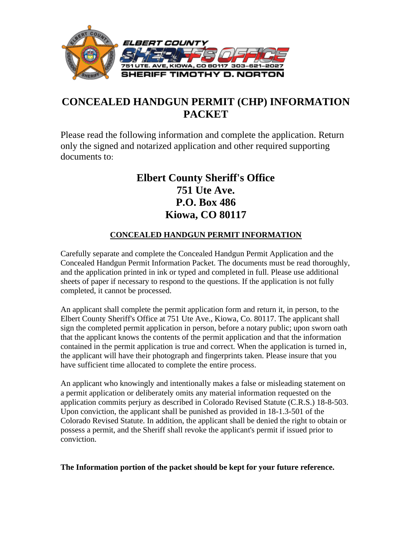

# **CONCEALED HANDGUN PERMIT (CHP) INFORMATION PACKET**

Please read the following information and complete the application. Return only the signed and notarized application and other required supporting documents to:

# **Elbert County Sheriff's Office 751 Ute Ave. P.O. Box 486 Kiowa, CO 80117**

## **CONCEALED HANDGUN PERMIT INFORMATION**

Carefully separate and complete the Concealed Handgun Permit Application and the Concealed Handgun Permit Information Packet. The documents must be read thoroughly, and the application printed in ink or typed and completed in full. Please use additional sheets of paper if necessary to respond to the questions. If the application is not fully completed, it cannot be processed.

An applicant shall complete the permit application form and return it, in person, to the Elbert County Sheriff's Office at 751 Ute Ave., Kiowa, Co. 80117. The applicant shall sign the completed permit application in person, before a notary public; upon sworn oath that the applicant knows the contents of the permit application and that the information contained in the permit application is true and correct. When the application is turned in, the applicant will have their photograph and fingerprints taken. Please insure that you have sufficient time allocated to complete the entire process.

An applicant who knowingly and intentionally makes a false or misleading statement on a permit application or deliberately omits any material information requested on the application commits perjury as described in Colorado Revised Statute (C.R.S.) 18-8-503. Upon conviction, the applicant shall be punished as provided in 18-1.3-501 of the Colorado Revised Statute. In addition, the applicant shall be denied the right to obtain or possess a permit, and the Sheriff shall revoke the applicant's permit if issued prior to conviction.

## **The Information portion of the packet should be kept for your future reference.**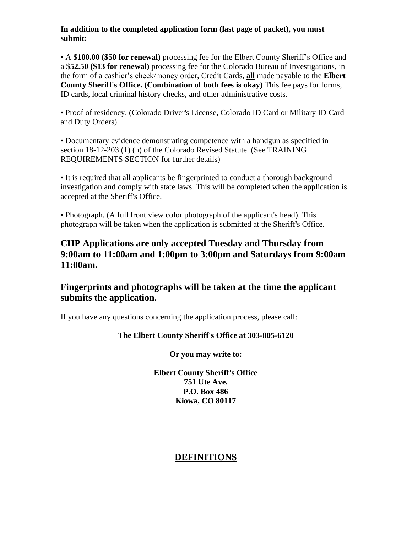#### **In addition to the completed application form (last page of packet), you must submit:**

• A \$**100.00 (\$50 for renewal)** processing fee for the Elbert County Sheriff's Office and a \$**52.50 (\$13 for renewal)** processing fee for the Colorado Bureau of Investigations, in the form of a cashier's check/money order, Credit Cards, **all** made payable to the **Elbert County Sheriff's Office. (Combination of both fees is okay)** This fee pays for forms, ID cards, local criminal history checks, and other administrative costs.

• Proof of residency. (Colorado Driver's License, Colorado ID Card or Military ID Card and Duty Orders)

• Documentary evidence demonstrating competence with a handgun as specified in section 18-12-203 (1) (h) of the Colorado Revised Statute. (See TRAINING REQUIREMENTS SECTION for further details)

• It is required that all applicants be fingerprinted to conduct a thorough background investigation and comply with state laws. This will be completed when the application is accepted at the Sheriff's Office.

• Photograph. (A full front view color photograph of the applicant's head). This photograph will be taken when the application is submitted at the Sheriff's Office.

## **CHP Applications are only accepted Tuesday and Thursday from 9:00am to 11:00am and 1:00pm to 3:00pm and Saturdays from 9:00am 11:00am.**

**Fingerprints and photographs will be taken at the time the applicant submits the application.**

If you have any questions concerning the application process, please call:

## **The Elbert County Sheriff's Office at 303-805-6120**

#### **Or you may write to:**

**Elbert County Sheriff's Office 751 Ute Ave. P.O. Box 486 Kiowa, CO 80117**

## **DEFINITIONS**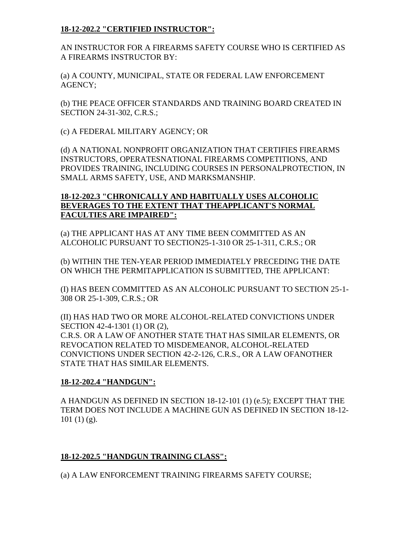## **18-12-202.2 "CERTIFIED INSTRUCTOR":**

AN INSTRUCTOR FOR A FIREARMS SAFETY COURSE WHO IS CERTIFIED AS A FIREARMS INSTRUCTOR BY:

(a) A COUNTY, MUNICIPAL, STATE OR FEDERAL LAW ENFORCEMENT AGENCY;

(b) THE PEACE OFFICER STANDARDS AND TRAINING BOARD CREATED IN SECTION 24-31-302, C.R.S.;

(c) A FEDERAL MILITARY AGENCY; OR

(d) A NATIONAL NONPROFIT ORGANIZATION THAT CERTIFIES FIREARMS INSTRUCTORS, OPERATESNATIONAL FIREARMS COMPETITIONS, AND PROVIDES TRAINING, INCLUDING COURSES IN PERSONALPROTECTION, IN SMALL ARMS SAFETY, USE, AND MARKSMANSHIP.

## **18-12-202.3 "CHRONICALLY AND HABITUALLY USES ALCOHOLIC BEVERAGES TO THE EXTENT THAT THEAPPLICANT'S NORMAL FACULTIES ARE IMPAIRED":**

(a) THE APPLICANT HAS AT ANY TIME BEEN COMMITTED AS AN ALCOHOLIC PURSUANT TO SECTION25-1-310 OR 25-1-311, C.R.S.; OR

(b) WITHIN THE TEN-YEAR PERIOD IMMEDIATELY PRECEDING THE DATE ON WHICH THE PERMITAPPLICATION IS SUBMITTED, THE APPLICANT:

(I) HAS BEEN COMMITTED AS AN ALCOHOLIC PURSUANT TO SECTION 25-1- 308 OR 25-1-309, C.R.S.; OR

(II) HAS HAD TWO OR MORE ALCOHOL-RELATED CONVICTIONS UNDER SECTION 42-4-1301 (1) OR (2), C.R.S. OR A LAW OF ANOTHER STATE THAT HAS SIMILAR ELEMENTS, OR REVOCATION RELATED TO MISDEMEANOR, ALCOHOL-RELATED CONVICTIONS UNDER SECTION 42-2-126, C.R.S., OR A LAW OFANOTHER STATE THAT HAS SIMILAR ELEMENTS.

## **18-12-202.4 "HANDGUN":**

A HANDGUN AS DEFINED IN SECTION 18-12-101 (1) (e.5); EXCEPT THAT THE TERM DOES NOT INCLUDE A MACHINE GUN AS DEFINED IN SECTION 18-12-  $101(1)(g)$ .

## **18-12-202.5 "HANDGUN TRAINING CLASS":**

(a) A LAW ENFORCEMENT TRAINING FIREARMS SAFETY COURSE;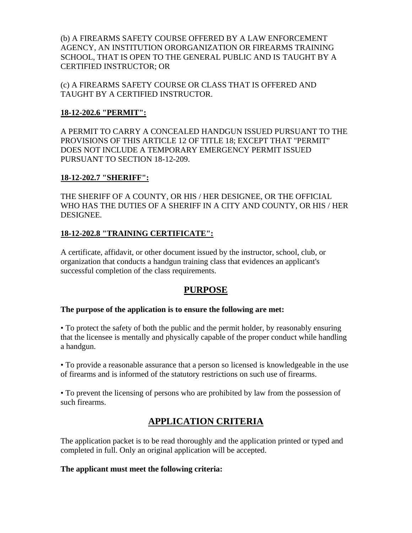(b) A FIREARMS SAFETY COURSE OFFERED BY A LAW ENFORCEMENT AGENCY, AN INSTITUTION ORORGANIZATION OR FIREARMS TRAINING SCHOOL, THAT IS OPEN TO THE GENERAL PUBLIC AND IS TAUGHT BY A CERTIFIED INSTRUCTOR; OR

(c) A FIREARMS SAFETY COURSE OR CLASS THAT IS OFFERED AND TAUGHT BY A CERTIFIED INSTRUCTOR.

#### **18-12-202.6 "PERMIT":**

A PERMIT TO CARRY A CONCEALED HANDGUN ISSUED PURSUANT TO THE PROVISIONS OF THIS ARTICLE 12 OF TITLE 18; EXCEPT THAT "PERMIT" DOES NOT INCLUDE A TEMPORARY EMERGENCY PERMIT ISSUED PURSUANT TO SECTION 18-12-209.

#### **18-12-202.7 "SHERIFF":**

THE SHERIFF OF A COUNTY, OR HIS / HER DESIGNEE, OR THE OFFICIAL WHO HAS THE DUTIES OF A SHERIFF IN A CITY AND COUNTY, OR HIS / HER DESIGNEE.

## **18-12-202.8 "TRAINING CERTIFICATE":**

A certificate, affidavit, or other document issued by the instructor, school, club, or organization that conducts a handgun training class that evidences an applicant's successful completion of the class requirements.

## **PURPOSE**

#### **The purpose of the application is to ensure the following are met:**

• To protect the safety of both the public and the permit holder, by reasonably ensuring that the licensee is mentally and physically capable of the proper conduct while handling a handgun.

• To provide a reasonable assurance that a person so licensed is knowledgeable in the use of firearms and is informed of the statutory restrictions on such use of firearms.

• To prevent the licensing of persons who are prohibited by law from the possession of such firearms.

# **APPLICATION CRITERIA**

The application packet is to be read thoroughly and the application printed or typed and completed in full. Only an original application will be accepted.

#### **The applicant must meet the following criteria:**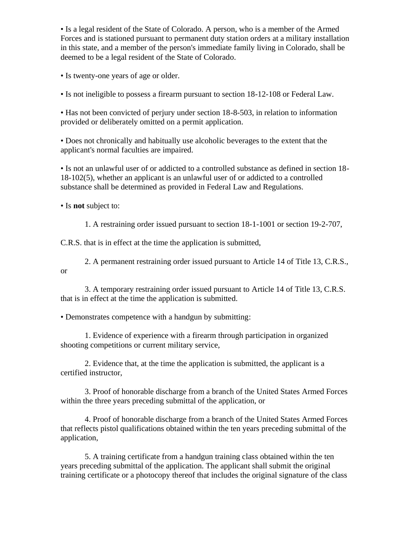• Is a legal resident of the State of Colorado. A person, who is a member of the Armed Forces and is stationed pursuant to permanent duty station orders at a military installation in this state, and a member of the person's immediate family living in Colorado, shall be deemed to be a legal resident of the State of Colorado.

• Is twenty-one years of age or older.

• Is not ineligible to possess a firearm pursuant to section 18-12-108 or Federal Law.

• Has not been convicted of perjury under section 18-8-503, in relation to information provided or deliberately omitted on a permit application.

• Does not chronically and habitually use alcoholic beverages to the extent that the applicant's normal faculties are impaired.

• Is not an unlawful user of or addicted to a controlled substance as defined in section 18- 18-102(5), whether an applicant is an unlawful user of or addicted to a controlled substance shall be determined as provided in Federal Law and Regulations.

• Is **not** subject to:

1. A restraining order issued pursuant to section 18-1-1001 or section 19-2-707,

C.R.S. that is in effect at the time the application is submitted,

2. A permanent restraining order issued pursuant to Article 14 of Title 13, C.R.S., or

3. A temporary restraining order issued pursuant to Article 14 of Title 13, C.R.S. that is in effect at the time the application is submitted.

• Demonstrates competence with a handgun by submitting:

1. Evidence of experience with a firearm through participation in organized shooting competitions or current military service,

2. Evidence that, at the time the application is submitted, the applicant is a certified instructor,

3. Proof of honorable discharge from a branch of the United States Armed Forces within the three years preceding submittal of the application, or

4. Proof of honorable discharge from a branch of the United States Armed Forces that reflects pistol qualifications obtained within the ten years preceding submittal of the application,

5. A training certificate from a handgun training class obtained within the ten years preceding submittal of the application. The applicant shall submit the original training certificate or a photocopy thereof that includes the original signature of the class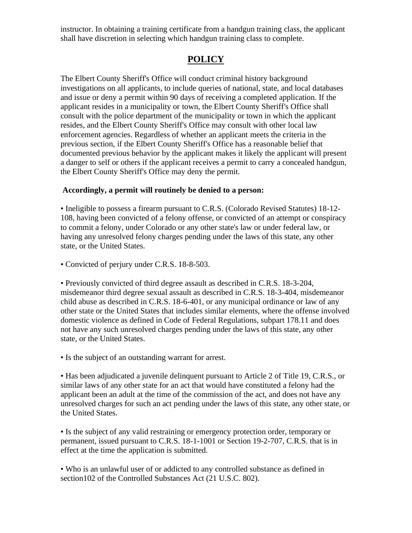instructor. In obtaining a training certificate from a handgun training class, the applicant shall have discretion in selecting which handgun training class to complete.

## **POLICY**

The Elbert County Sheriff's Office will conduct criminal history background investigations on all applicants, to include queries of national, state, and local databases and issue or deny a permit within 90 days of receiving a completed application. If the applicant resides in a municipality or town, the Elbert County Sheriff's Office shall consult with the police department of the municipality or town in which the applicant resides, and the Elbert County Sheriff's Office may consult with other local law enforcement agencies. Regardless of whether an applicant meets the criteria in the previous section, if the Elbert County Sheriff's Office has a reasonable belief that documented previous behavior by the applicant makes it likely the applicant will present a danger to self or others if the applicant receives a permit to carry a concealed handgun, the Elbert County Sheriff's Office may deny the permit.

#### **Accordingly, a permit will routinely be denied to a person:**

• Ineligible to possess a firearm pursuant to C.R.S. (Colorado Revised Statutes) 18-12- 108, having been convicted of a felony offense, or convicted of an attempt or conspiracy to commit a felony, under Colorado or any other state's law or under federal law, or having any unresolved felony charges pending under the laws of this state, any other state, or the United States.

• Convicted of perjury under C.R.S. 18-8-503.

• Previously convicted of third degree assault as described in C.R.S. 18-3-204, misdemeanor third degree sexual assault as described in C.R.S. 18-3-404, misdemeanor child abuse as described in C.R.S. 18-6-401, or any municipal ordinance or law of any other state or the United States that includes similar elements, where the offense involved domestic violence as defined in Code of Federal Regulations, subpart 178.11 and does not have any such unresolved charges pending under the laws of this state, any other state, or the United States.

• Is the subject of an outstanding warrant for arrest.

• Has been adjudicated a juvenile delinquent pursuant to Article 2 of Title 19, C.R.S., or similar laws of any other state for an act that would have constituted a felony had the applicant been an adult at the time of the commission of the act, and does not have any unresolved charges for such an act pending under the laws of this state, any other state, or the United States.

• Is the subject of any valid restraining or emergency protection order, temporary or permanent, issued pursuant to C.R.S. 18-1-1001 or Section 19-2-707, C.R.S. that is in effect at the time the application is submitted.

• Who is an unlawful user of or addicted to any controlled substance as defined in section102 of the Controlled Substances Act (21 U.S.C. 802).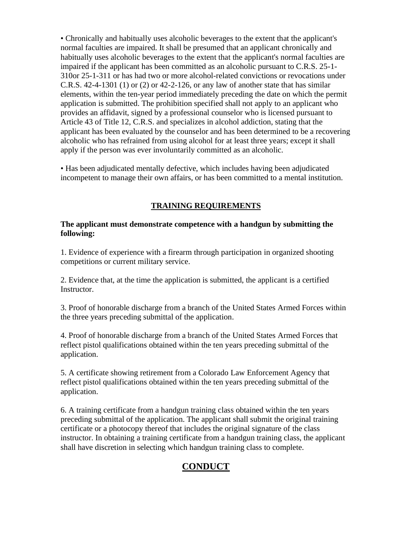• Chronically and habitually uses alcoholic beverages to the extent that the applicant's normal faculties are impaired. It shall be presumed that an applicant chronically and habitually uses alcoholic beverages to the extent that the applicant's normal faculties are impaired if the applicant has been committed as an alcoholic pursuant to C.R.S. 25-1- 310or 25-1-311 or has had two or more alcohol-related convictions or revocations under C.R.S. 42-4-1301 (1) or (2) or 42-2-126, or any law of another state that has similar elements, within the ten-year period immediately preceding the date on which the permit application is submitted. The prohibition specified shall not apply to an applicant who provides an affidavit, signed by a professional counselor who is licensed pursuant to Article 43 of Title 12, C.R.S. and specializes in alcohol addiction, stating that the applicant has been evaluated by the counselor and has been determined to be a recovering alcoholic who has refrained from using alcohol for at least three years; except it shall apply if the person was ever involuntarily committed as an alcoholic.

• Has been adjudicated mentally defective, which includes having been adjudicated incompetent to manage their own affairs, or has been committed to a mental institution.

## **TRAINING REQUIREMENTS**

#### **The applicant must demonstrate competence with a handgun by submitting the following:**

1. Evidence of experience with a firearm through participation in organized shooting competitions or current military service.

2. Evidence that, at the time the application is submitted, the applicant is a certified Instructor.

3. Proof of honorable discharge from a branch of the United States Armed Forces within the three years preceding submittal of the application.

4. Proof of honorable discharge from a branch of the United States Armed Forces that reflect pistol qualifications obtained within the ten years preceding submittal of the application.

5. A certificate showing retirement from a Colorado Law Enforcement Agency that reflect pistol qualifications obtained within the ten years preceding submittal of the application.

6. A training certificate from a handgun training class obtained within the ten years preceding submittal of the application. The applicant shall submit the original training certificate or a photocopy thereof that includes the original signature of the class instructor. In obtaining a training certificate from a handgun training class, the applicant shall have discretion in selecting which handgun training class to complete.

# **CONDUCT**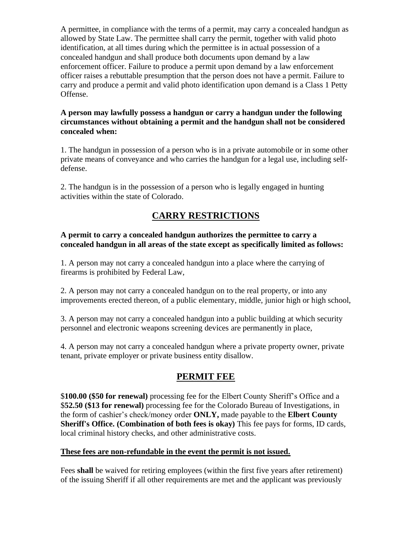A permittee, in compliance with the terms of a permit, may carry a concealed handgun as allowed by State Law. The permittee shall carry the permit, together with valid photo identification, at all times during which the permittee is in actual possession of a concealed handgun and shall produce both documents upon demand by a law enforcement officer. Failure to produce a permit upon demand by a law enforcement officer raises a rebuttable presumption that the person does not have a permit. Failure to carry and produce a permit and valid photo identification upon demand is a Class 1 Petty Offense.

#### **A person may lawfully possess a handgun or carry a handgun under the following circumstances without obtaining a permit and the handgun shall not be considered concealed when:**

1. The handgun in possession of a person who is in a private automobile or in some other private means of conveyance and who carries the handgun for a legal use, including selfdefense.

2. The handgun is in the possession of a person who is legally engaged in hunting activities within the state of Colorado.

# **CARRY RESTRICTIONS**

## **A permit to carry a concealed handgun authorizes the permittee to carry a concealed handgun in all areas of the state except as specifically limited as follows:**

1. A person may not carry a concealed handgun into a place where the carrying of firearms is prohibited by Federal Law,

2. A person may not carry a concealed handgun on to the real property, or into any improvements erected thereon, of a public elementary, middle, junior high or high school,

3. A person may not carry a concealed handgun into a public building at which security personnel and electronic weapons screening devices are permanently in place,

4. A person may not carry a concealed handgun where a private property owner, private tenant, private employer or private business entity disallow.

# **PERMIT FEE**

\$**100.00 (\$50 for renewal)** processing fee for the Elbert County Sheriff's Office and a \$**52.50 (\$13 for renewal)** processing fee for the Colorado Bureau of Investigations, in the form of cashier's check/money order **ONLY,** made payable to the **Elbert County Sheriff's Office. (Combination of both fees is okay)** This fee pays for forms, ID cards, local criminal history checks, and other administrative costs.

## **These fees are non-refundable in the event the permit is not issued.**

Fees **shall** be waived for retiring employees (within the first five years after retirement) of the issuing Sheriff if all other requirements are met and the applicant was previously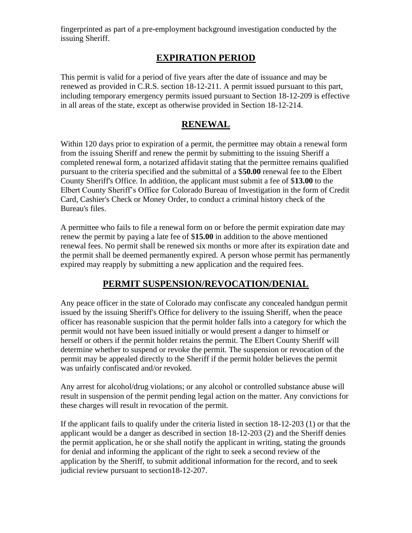fingerprinted as part of a pre-employment background investigation conducted by the issuing Sheriff.

## **EXPIRATION PERIOD**

This permit is valid for a period of five years after the date of issuance and may be renewed as provided in C.R.S. section 18-12-211. A permit issued pursuant to this part, including temporary emergency permits issued pursuant to Section 18-12-209 is effective in all areas of the state, except as otherwise provided in Section 18-12-214.

## **RENEWAL**

Within 120 days prior to expiration of a permit, the permittee may obtain a renewal form from the issuing Sheriff and renew the permit by submitting to the issuing Sheriff a completed renewal form, a notarized affidavit stating that the permittee remains qualified pursuant to the criteria specified and the submittal of a \$**50.00** renewal fee to the Elbert County Sheriff's Office. In addition, the applicant must submit a fee of \$**13.00** to the Elbert County Sheriff's Office for Colorado Bureau of Investigation in the form of Credit Card, Cashier's Check or Money Order, to conduct a criminal history check of the Bureau's files.

A permittee who fails to file a renewal form on or before the permit expiration date may renew the permit by paying a late fee of \$**15.00** in addition to the above mentioned renewal fees. No permit shall be renewed six months or more after its expiration date and the permit shall be deemed permanently expired. A person whose permit has permanently expired may reapply by submitting a new application and the required fees.

## **PERMIT SUSPENSION/REVOCATION/DENIAL**

Any peace officer in the state of Colorado may confiscate any concealed handgun permit issued by the issuing Sheriff's Office for delivery to the issuing Sheriff, when the peace officer has reasonable suspicion that the permit holder falls into a category for which the permit would not have been issued initially or would present a danger to himself or herself or others if the permit holder retains the permit. The Elbert County Sheriff will determine whether to suspend or revoke the permit. The suspension or revocation of the permit may be appealed directly to the Sheriff if the permit holder believes the permit was unfairly confiscated and/or revoked.

Any arrest for alcohol/drug violations; or any alcohol or controlled substance abuse will result in suspension of the permit pending legal action on the matter. Any convictions for these charges will result in revocation of the permit.

If the applicant fails to qualify under the criteria listed in section 18-12-203 (1) or that the applicant would be a danger as described in section 18-12-203 (2) and the Sheriff denies the permit application, he or she shall notify the applicant in writing, stating the grounds for denial and informing the applicant of the right to seek a second review of the application by the Sheriff, to submit additional information for the record, and to seek judicial review pursuant to section18-12-207.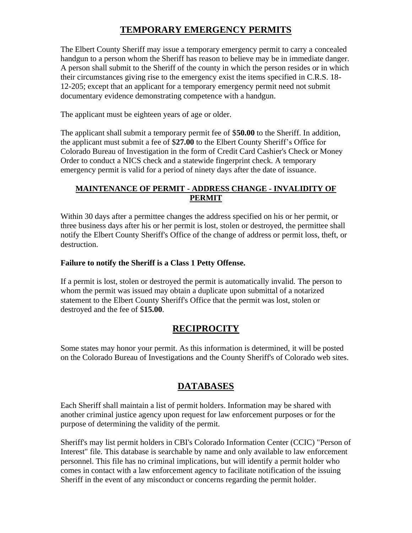# **TEMPORARY EMERGENCY PERMITS**

The Elbert County Sheriff may issue a temporary emergency permit to carry a concealed handgun to a person whom the Sheriff has reason to believe may be in immediate danger. A person shall submit to the Sheriff of the county in which the person resides or in which their circumstances giving rise to the emergency exist the items specified in C.R.S. 18- 12-205; except that an applicant for a temporary emergency permit need not submit documentary evidence demonstrating competence with a handgun.

The applicant must be eighteen years of age or older.

The applicant shall submit a temporary permit fee of \$**50.00** to the Sheriff. In addition, the applicant must submit a fee of \$**27.00** to the Elbert County Sheriff's Office for Colorado Bureau of Investigation in the form of Credit Card Cashier's Check or Money Order to conduct a NICS check and a statewide fingerprint check. A temporary emergency permit is valid for a period of ninety days after the date of issuance.

## **MAINTENANCE OF PERMIT - ADDRESS CHANGE - INVALIDITY OF PERMIT**

Within 30 days after a permittee changes the address specified on his or her permit, or three business days after his or her permit is lost, stolen or destroyed, the permittee shall notify the Elbert County Sheriff's Office of the change of address or permit loss, theft, or destruction.

## **Failure to notify the Sheriff is a Class 1 Petty Offense.**

If a permit is lost, stolen or destroyed the permit is automatically invalid. The person to whom the permit was issued may obtain a duplicate upon submittal of a notarized statement to the Elbert County Sheriff's Office that the permit was lost, stolen or destroyed and the fee of \$**15.00**.

# **RECIPROCITY**

Some states may honor your permit. As this information is determined, it will be posted on the Colorado Bureau of Investigations and the County Sheriff's of Colorado web sites.

# **DATABASES**

Each Sheriff shall maintain a list of permit holders. Information may be shared with another criminal justice agency upon request for law enforcement purposes or for the purpose of determining the validity of the permit.

Sheriff's may list permit holders in CBI's Colorado Information Center (CCIC) "Person of Interest" file. This database is searchable by name and only available to law enforcement personnel. This file has no criminal implications, but will identify a permit holder who comes in contact with a law enforcement agency to facilitate notification of the issuing Sheriff in the event of any misconduct or concerns regarding the permit holder.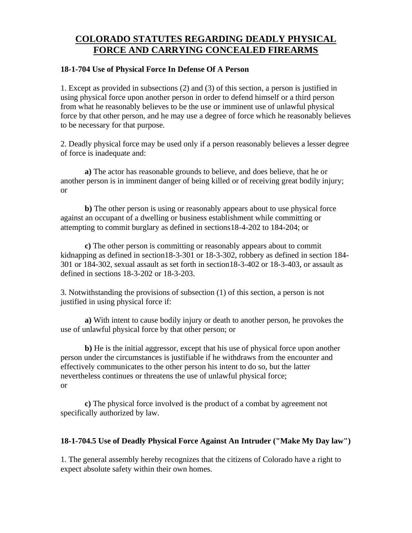## **COLORADO STATUTES REGARDING DEADLY PHYSICAL FORCE AND CARRYING CONCEALED FIREARMS**

#### **18-1-704 Use of Physical Force In Defense Of A Person**

1. Except as provided in subsections (2) and (3) of this section, a person is justified in using physical force upon another person in order to defend himself or a third person from what he reasonably believes to be the use or imminent use of unlawful physical force by that other person, and he may use a degree of force which he reasonably believes to be necessary for that purpose.

2. Deadly physical force may be used only if a person reasonably believes a lesser degree of force is inadequate and:

**a)** The actor has reasonable grounds to believe, and does believe, that he or another person is in imminent danger of being killed or of receiving great bodily injury; or

**b)** The other person is using or reasonably appears about to use physical force against an occupant of a dwelling or business establishment while committing or attempting to commit burglary as defined in sections18-4-202 to 184-204; or

**c)** The other person is committing or reasonably appears about to commit kidnapping as defined in section18-3-301 or 18-3-302, robbery as defined in section 184- 301 or 184-302, sexual assault as set forth in section18-3-402 or 18-3-403, or assault as defined in sections 18-3-202 or 18-3-203.

3. Notwithstanding the provisions of subsection (1) of this section, a person is not justified in using physical force if:

**a)** With intent to cause bodily injury or death to another person, he provokes the use of unlawful physical force by that other person; or

**b)** He is the initial aggressor, except that his use of physical force upon another person under the circumstances is justifiable if he withdraws from the encounter and effectively communicates to the other person his intent to do so, but the latter nevertheless continues or threatens the use of unlawful physical force; or

**c)** The physical force involved is the product of a combat by agreement not specifically authorized by law.

## **18-1-704.5 Use of Deadly Physical Force Against An Intruder ("Make My Day law")**

1. The general assembly hereby recognizes that the citizens of Colorado have a right to expect absolute safety within their own homes.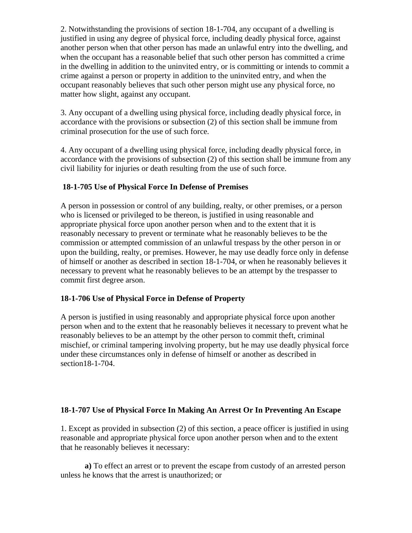2. Notwithstanding the provisions of section 18-1-704, any occupant of a dwelling is justified in using any degree of physical force, including deadly physical force, against another person when that other person has made an unlawful entry into the dwelling, and when the occupant has a reasonable belief that such other person has committed a crime in the dwelling in addition to the uninvited entry, or is committing or intends to commit a crime against a person or property in addition to the uninvited entry, and when the occupant reasonably believes that such other person might use any physical force, no matter how slight, against any occupant.

3. Any occupant of a dwelling using physical force, including deadly physical force, in accordance with the provisions or subsection (2) of this section shall be immune from criminal prosecution for the use of such force.

4. Any occupant of a dwelling using physical force, including deadly physical force, in accordance with the provisions of subsection (2) of this section shall be immune from any civil liability for injuries or death resulting from the use of such force.

## **18-1-705 Use of Physical Force In Defense of Premises**

A person in possession or control of any building, realty, or other premises, or a person who is licensed or privileged to be thereon, is justified in using reasonable and appropriate physical force upon another person when and to the extent that it is reasonably necessary to prevent or terminate what he reasonably believes to be the commission or attempted commission of an unlawful trespass by the other person in or upon the building, realty, or premises. However, he may use deadly force only in defense of himself or another as described in section 18-1-704, or when he reasonably believes it necessary to prevent what he reasonably believes to be an attempt by the trespasser to commit first degree arson.

## **18-1-706 Use of Physical Force in Defense of Property**

A person is justified in using reasonably and appropriate physical force upon another person when and to the extent that he reasonably believes it necessary to prevent what he reasonably believes to be an attempt by the other person to commit theft, criminal mischief, or criminal tampering involving property, but he may use deadly physical force under these circumstances only in defense of himself or another as described in section18-1-704.

## **18-1-707 Use of Physical Force In Making An Arrest Or In Preventing An Escape**

1. Except as provided in subsection (2) of this section, a peace officer is justified in using reasonable and appropriate physical force upon another person when and to the extent that he reasonably believes it necessary:

**a)** To effect an arrest or to prevent the escape from custody of an arrested person unless he knows that the arrest is unauthorized; or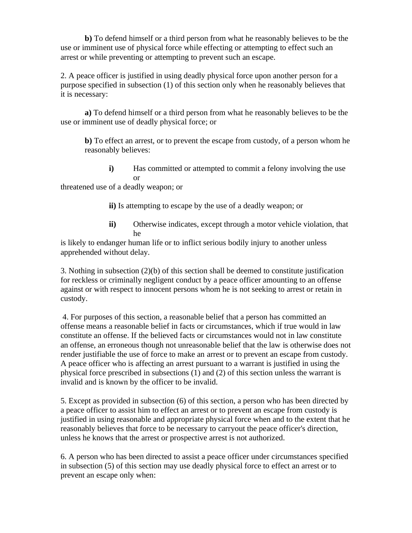**b)** To defend himself or a third person from what he reasonably believes to be the use or imminent use of physical force while effecting or attempting to effect such an arrest or while preventing or attempting to prevent such an escape.

2. A peace officer is justified in using deadly physical force upon another person for a purpose specified in subsection (1) of this section only when he reasonably believes that it is necessary:

**a)** To defend himself or a third person from what he reasonably believes to be the use or imminent use of deadly physical force; or

**b)** To effect an arrest, or to prevent the escape from custody, of a person whom he reasonably believes:

**i**) Has committed or attempted to commit a felony involving the use or

threatened use of a deadly weapon; or

**ii)** Is attempting to escape by the use of a deadly weapon; or

**ii)** Otherwise indicates, except through a motor vehicle violation, that he

is likely to endanger human life or to inflict serious bodily injury to another unless apprehended without delay.

3. Nothing in subsection (2)(b) of this section shall be deemed to constitute justification for reckless or criminally negligent conduct by a peace officer amounting to an offense against or with respect to innocent persons whom he is not seeking to arrest or retain in custody.

4. For purposes of this section, a reasonable belief that a person has committed an offense means a reasonable belief in facts or circumstances, which if true would in law constitute an offense. If the believed facts or circumstances would not in law constitute an offense, an erroneous though not unreasonable belief that the law is otherwise does not render justifiable the use of force to make an arrest or to prevent an escape from custody. A peace officer who is affecting an arrest pursuant to a warrant is justified in using the physical force prescribed in subsections (1) and (2) of this section unless the warrant is invalid and is known by the officer to be invalid.

5. Except as provided in subsection (6) of this section, a person who has been directed by a peace officer to assist him to effect an arrest or to prevent an escape from custody is justified in using reasonable and appropriate physical force when and to the extent that he reasonably believes that force to be necessary to carryout the peace officer's direction, unless he knows that the arrest or prospective arrest is not authorized.

6. A person who has been directed to assist a peace officer under circumstances specified in subsection (5) of this section may use deadly physical force to effect an arrest or to prevent an escape only when: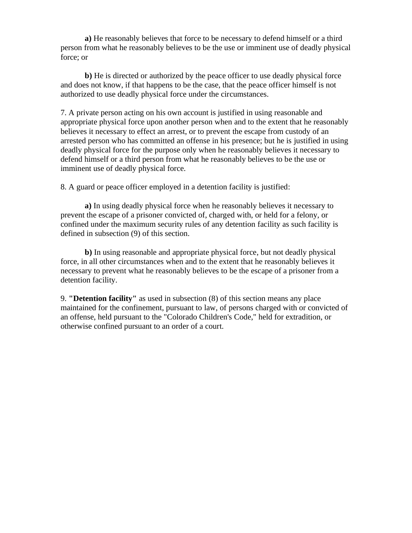**a)** He reasonably believes that force to be necessary to defend himself or a third person from what he reasonably believes to be the use or imminent use of deadly physical force; or

**b)** He is directed or authorized by the peace officer to use deadly physical force and does not know, if that happens to be the case, that the peace officer himself is not authorized to use deadly physical force under the circumstances.

7. A private person acting on his own account is justified in using reasonable and appropriate physical force upon another person when and to the extent that he reasonably believes it necessary to effect an arrest, or to prevent the escape from custody of an arrested person who has committed an offense in his presence; but he is justified in using deadly physical force for the purpose only when he reasonably believes it necessary to defend himself or a third person from what he reasonably believes to be the use or imminent use of deadly physical force.

8. A guard or peace officer employed in a detention facility is justified:

**a)** In using deadly physical force when he reasonably believes it necessary to prevent the escape of a prisoner convicted of, charged with, or held for a felony, or confined under the maximum security rules of any detention facility as such facility is defined in subsection (9) of this section.

**b)** In using reasonable and appropriate physical force, but not deadly physical force, in all other circumstances when and to the extent that he reasonably believes it necessary to prevent what he reasonably believes to be the escape of a prisoner from a detention facility.

9. **"Detention facility"** as used in subsection (8) of this section means any place maintained for the confinement, pursuant to law, of persons charged with or convicted of an offense, held pursuant to the "Colorado Children's Code," held for extradition, or otherwise confined pursuant to an order of a court.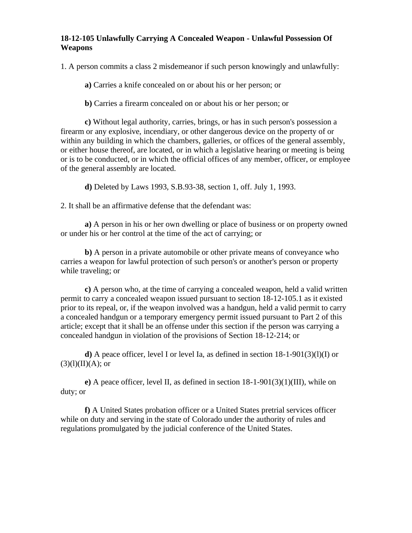#### **18-12-105 Unlawfully Carrying A Concealed Weapon - Unlawful Possession Of Weapons**

1. A person commits a class 2 misdemeanor if such person knowingly and unlawfully:

**a)** Carries a knife concealed on or about his or her person; or

**b)** Carries a firearm concealed on or about his or her person; or

**c)** Without legal authority, carries, brings, or has in such person's possession a firearm or any explosive, incendiary, or other dangerous device on the property of or within any building in which the chambers, galleries, or offices of the general assembly, or either house thereof, are located, or in which a legislative hearing or meeting is being or is to be conducted, or in which the official offices of any member, officer, or employee of the general assembly are located.

**d)** Deleted by Laws 1993, S.B.93-38, section 1, off. July 1, 1993.

2. It shall be an affirmative defense that the defendant was:

**a)** A person in his or her own dwelling or place of business or on property owned or under his or her control at the time of the act of carrying; or

**b)** A person in a private automobile or other private means of conveyance who carries a weapon for lawful protection of such person's or another's person or property while traveling; or

**c)** A person who, at the time of carrying a concealed weapon, held a valid written permit to carry a concealed weapon issued pursuant to section 18-12-105.1 as it existed prior to its repeal, or, if the weapon involved was a handgun, held a valid permit to carry a concealed handgun or a temporary emergency permit issued pursuant to Part 2 of this article; except that it shall be an offense under this section if the person was carrying a concealed handgun in violation of the provisions of Section 18-12-214; or

**d**) A peace officer, level I or level Ia, as defined in section  $18-1-901(3)(1)(1)$  or  $(3)(1)(II)(A);$  or

**e)** A peace officer, level II, as defined in section 18-1-901(3)(1)(III), while on duty; or

**f)** A United States probation officer or a United States pretrial services officer while on duty and serving in the state of Colorado under the authority of rules and regulations promulgated by the judicial conference of the United States.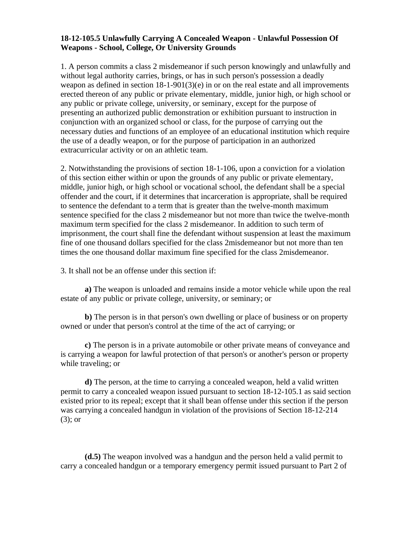#### **18-12-105.5 Unlawfully Carrying A Concealed Weapon - Unlawful Possession Of Weapons - School, College, Or University Grounds**

1. A person commits a class 2 misdemeanor if such person knowingly and unlawfully and without legal authority carries, brings, or has in such person's possession a deadly weapon as defined in section 18-1-901(3)(e) in or on the real estate and all improvements erected thereon of any public or private elementary, middle, junior high, or high school or any public or private college, university, or seminary, except for the purpose of presenting an authorized public demonstration or exhibition pursuant to instruction in conjunction with an organized school or class, for the purpose of carrying out the necessary duties and functions of an employee of an educational institution which require the use of a deadly weapon, or for the purpose of participation in an authorized extracurricular activity or on an athletic team.

2. Notwithstanding the provisions of section 18-1-106, upon a conviction for a violation of this section either within or upon the grounds of any public or private elementary, middle, junior high, or high school or vocational school, the defendant shall be a special offender and the court, if it determines that incarceration is appropriate, shall be required to sentence the defendant to a term that is greater than the twelve-month maximum sentence specified for the class 2 misdemeanor but not more than twice the twelve-month maximum term specified for the class 2 misdemeanor. In addition to such term of imprisonment, the court shall fine the defendant without suspension at least the maximum fine of one thousand dollars specified for the class 2misdemeanor but not more than ten times the one thousand dollar maximum fine specified for the class 2misdemeanor.

3. It shall not be an offense under this section if:

**a)** The weapon is unloaded and remains inside a motor vehicle while upon the real estate of any public or private college, university, or seminary; or

**b)** The person is in that person's own dwelling or place of business or on property owned or under that person's control at the time of the act of carrying; or

**c)** The person is in a private automobile or other private means of conveyance and is carrying a weapon for lawful protection of that person's or another's person or property while traveling; or

**d)** The person, at the time to carrying a concealed weapon, held a valid written permit to carry a concealed weapon issued pursuant to section 18-12-105.1 as said section existed prior to its repeal; except that it shall bean offense under this section if the person was carrying a concealed handgun in violation of the provisions of Section 18-12-214 (3); or

**(d.5)** The weapon involved was a handgun and the person held a valid permit to carry a concealed handgun or a temporary emergency permit issued pursuant to Part 2 of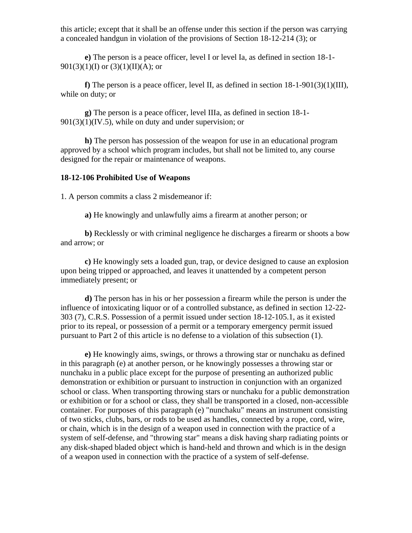this article; except that it shall be an offense under this section if the person was carrying a concealed handgun in violation of the provisions of Section 18-12-214 (3); or

**e)** The person is a peace officer, level I or level Ia, as defined in section 18-1-  $901(3)(1)(I)$  or  $(3)(1)(II)(A)$ ; or

**f**) The person is a peace officer, level II, as defined in section  $18-1-901(3)(1)(III)$ , while on duty; or

**g)** The person is a peace officer, level IIIa, as defined in section 18-1-  $901(3)(1)(IV.5)$ , while on duty and under supervision; or

**h)** The person has possession of the weapon for use in an educational program approved by a school which program includes, but shall not be limited to, any course designed for the repair or maintenance of weapons.

#### **18-12-106 Prohibited Use of Weapons**

1. A person commits a class 2 misdemeanor if:

**a)** He knowingly and unlawfully aims a firearm at another person; or

**b)** Recklessly or with criminal negligence he discharges a firearm or shoots a bow and arrow; or

**c)** He knowingly sets a loaded gun, trap, or device designed to cause an explosion upon being tripped or approached, and leaves it unattended by a competent person immediately present; or

**d)** The person has in his or her possession a firearm while the person is under the influence of intoxicating liquor or of a controlled substance, as defined in section 12-22- 303 (7), C.R.S. Possession of a permit issued under section 18-12-105.1, as it existed prior to its repeal, or possession of a permit or a temporary emergency permit issued pursuant to Part 2 of this article is no defense to a violation of this subsection (1).

**e)** He knowingly aims, swings, or throws a throwing star or nunchaku as defined in this paragraph (e) at another person, or he knowingly possesses a throwing star or nunchaku in a public place except for the purpose of presenting an authorized public demonstration or exhibition or pursuant to instruction in conjunction with an organized school or class. When transporting throwing stars or nunchaku for a public demonstration or exhibition or for a school or class, they shall be transported in a closed, non-accessible container. For purposes of this paragraph (e) "nunchaku" means an instrument consisting of two sticks, clubs, bars, or rods to be used as handles, connected by a rope, cord, wire, or chain, which is in the design of a weapon used in connection with the practice of a system of self-defense, and "throwing star" means a disk having sharp radiating points or any disk-shaped bladed object which is hand-held and thrown and which is in the design of a weapon used in connection with the practice of a system of self-defense.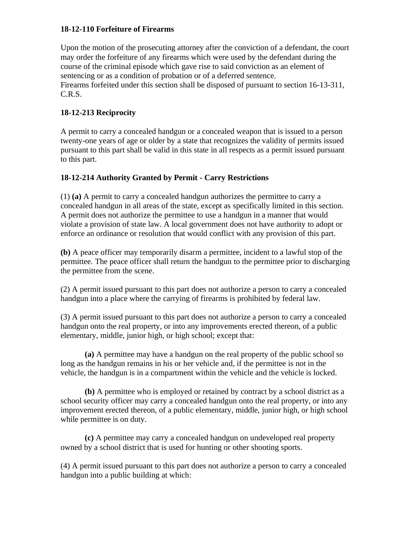## **18-12-110 Forfeiture of Firearms**

Upon the motion of the prosecuting attorney after the conviction of a defendant, the court may order the forfeiture of any firearms which were used by the defendant during the course of the criminal episode which gave rise to said conviction as an element of sentencing or as a condition of probation or of a deferred sentence. Firearms forfeited under this section shall be disposed of pursuant to section 16-13-311, C.R.S.

## **18-12-213 Reciprocity**

A permit to carry a concealed handgun or a concealed weapon that is issued to a person twenty-one years of age or older by a state that recognizes the validity of permits issued pursuant to this part shall be valid in this state in all respects as a permit issued pursuant to this part.

## **18-12-214 Authority Granted by Permit - Carry Restrictions**

(1) **(a)** A permit to carry a concealed handgun authorizes the permittee to carry a concealed handgun in all areas of the state, except as specifically limited in this section. A permit does not authorize the permittee to use a handgun in a manner that would violate a provision of state law. A local government does not have authority to adopt or enforce an ordinance or resolution that would conflict with any provision of this part.

**(b)** A peace officer may temporarily disarm a permittee, incident to a lawful stop of the permittee. The peace officer shall return the handgun to the permittee prior to discharging the permittee from the scene.

(2) A permit issued pursuant to this part does not authorize a person to carry a concealed handgun into a place where the carrying of firearms is prohibited by federal law.

(3) A permit issued pursuant to this part does not authorize a person to carry a concealed handgun onto the real property, or into any improvements erected thereon, of a public elementary, middle, junior high, or high school; except that:

**(a)** A permittee may have a handgun on the real property of the public school so long as the handgun remains in his or her vehicle and, if the permittee is not in the vehicle, the handgun is in a compartment within the vehicle and the vehicle is locked.

**(b)** A permittee who is employed or retained by contract by a school district as a school security officer may carry a concealed handgun onto the real property, or into any improvement erected thereon, of a public elementary, middle, junior high, or high school while permittee is on duty.

**(c)** A permittee may carry a concealed handgun on undeveloped real property owned by a school district that is used for hunting or other shooting sports.

(4) A permit issued pursuant to this part does not authorize a person to carry a concealed handgun into a public building at which: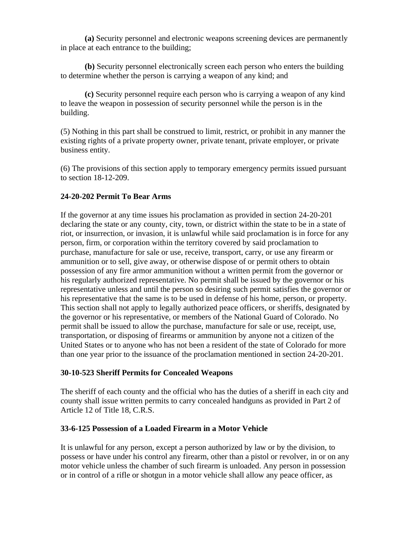**(a)** Security personnel and electronic weapons screening devices are permanently in place at each entrance to the building;

**(b)** Security personnel electronically screen each person who enters the building to determine whether the person is carrying a weapon of any kind; and

**(c)** Security personnel require each person who is carrying a weapon of any kind to leave the weapon in possession of security personnel while the person is in the building.

(5) Nothing in this part shall be construed to limit, restrict, or prohibit in any manner the existing rights of a private property owner, private tenant, private employer, or private business entity.

(6) The provisions of this section apply to temporary emergency permits issued pursuant to section 18-12-209.

## **24-20-202 Permit To Bear Arms**

If the governor at any time issues his proclamation as provided in section 24-20-201 declaring the state or any county, city, town, or district within the state to be in a state of riot, or insurrection, or invasion, it is unlawful while said proclamation is in force for any person, firm, or corporation within the territory covered by said proclamation to purchase, manufacture for sale or use, receive, transport, carry, or use any firearm or ammunition or to sell, give away, or otherwise dispose of or permit others to obtain possession of any fire armor ammunition without a written permit from the governor or his regularly authorized representative. No permit shall be issued by the governor or his representative unless and until the person so desiring such permit satisfies the governor or his representative that the same is to be used in defense of his home, person, or property. This section shall not apply to legally authorized peace officers, or sheriffs, designated by the governor or his representative, or members of the National Guard of Colorado. No permit shall be issued to allow the purchase, manufacture for sale or use, receipt, use, transportation, or disposing of firearms or ammunition by anyone not a citizen of the United States or to anyone who has not been a resident of the state of Colorado for more than one year prior to the issuance of the proclamation mentioned in section 24-20-201.

## **30-10-523 Sheriff Permits for Concealed Weapons**

The sheriff of each county and the official who has the duties of a sheriff in each city and county shall issue written permits to carry concealed handguns as provided in Part 2 of Article 12 of Title 18, C.R.S.

#### **33-6-125 Possession of a Loaded Firearm in a Motor Vehicle**

It is unlawful for any person, except a person authorized by law or by the division, to possess or have under his control any firearm, other than a pistol or revolver, in or on any motor vehicle unless the chamber of such firearm is unloaded. Any person in possession or in control of a rifle or shotgun in a motor vehicle shall allow any peace officer, as